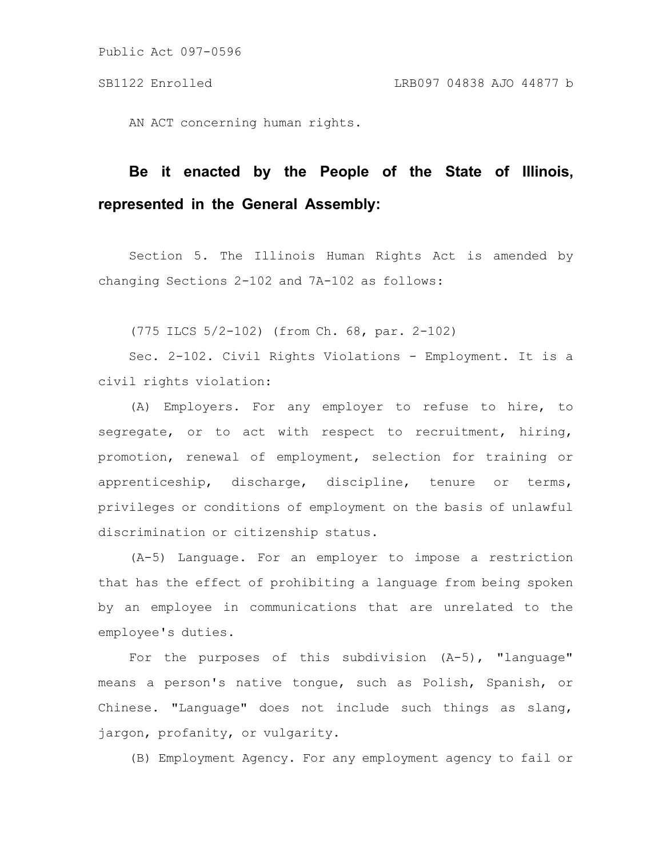AN ACT concerning human rights.

## **Be it enacted by the People of the State of Illinois, represented in the General Assembly:**

Section 5. The Illinois Human Rights Act is amended by changing Sections 2-102 and 7A-102 as follows:

(775 ILCS 5/2-102) (from Ch. 68, par. 2-102)

Sec. 2-102. Civil Rights Violations - Employment. It is a civil rights violation:

(A) Employers. For any employer to refuse to hire, to segregate, or to act with respect to recruitment, hiring, promotion, renewal of employment, selection for training or apprenticeship, discharge, discipline, tenure or terms, privileges or conditions of employment on the basis of unlawful discrimination or citizenship status.

(A-5) Language. For an employer to impose a restriction that has the effect of prohibiting a language from being spoken by an employee in communications that are unrelated to the employee's duties.

For the purposes of this subdivision  $(A-5)$ , "language" means a person's native tongue, such as Polish, Spanish, or Chinese. "Language" does not include such things as slang, jargon, profanity, or vulgarity.

(B) Employment Agency. For any employment agency to fail or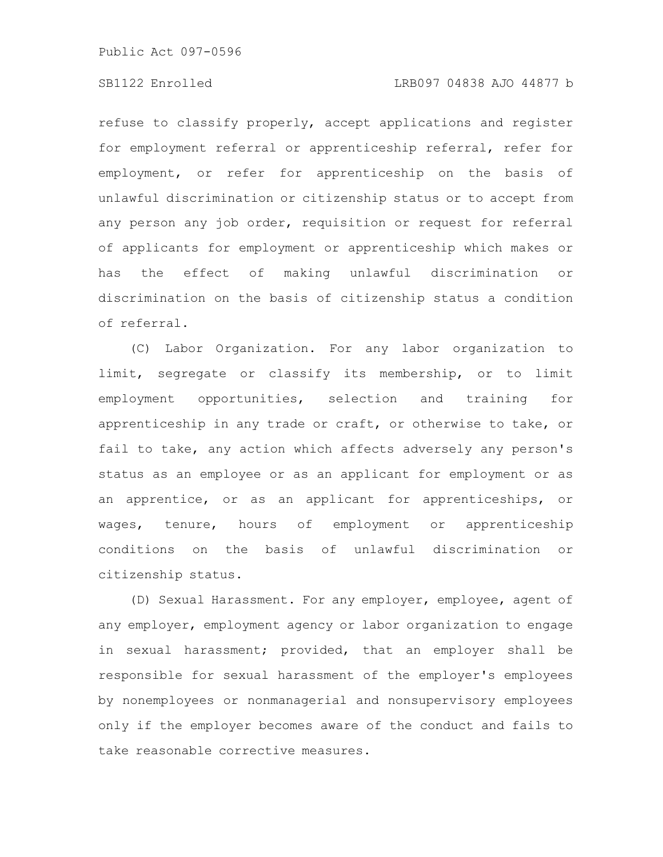refuse to classify properly, accept applications and register for employment referral or apprenticeship referral, refer for employment, or refer for apprenticeship on the basis of unlawful discrimination or citizenship status or to accept from any person any job order, requisition or request for referral of applicants for employment or apprenticeship which makes or has the effect of making unlawful discrimination or discrimination on the basis of citizenship status a condition of referral.

(C) Labor Organization. For any labor organization to limit, segregate or classify its membership, or to limit employment opportunities, selection and training for apprenticeship in any trade or craft, or otherwise to take, or fail to take, any action which affects adversely any person's status as an employee or as an applicant for employment or as an apprentice, or as an applicant for apprenticeships, or wages, tenure, hours of employment or apprenticeship conditions on the basis of unlawful discrimination or citizenship status.

(D) Sexual Harassment. For any employer, employee, agent of any employer, employment agency or labor organization to engage in sexual harassment; provided, that an employer shall be responsible for sexual harassment of the employer's employees by nonemployees or nonmanagerial and nonsupervisory employees only if the employer becomes aware of the conduct and fails to take reasonable corrective measures.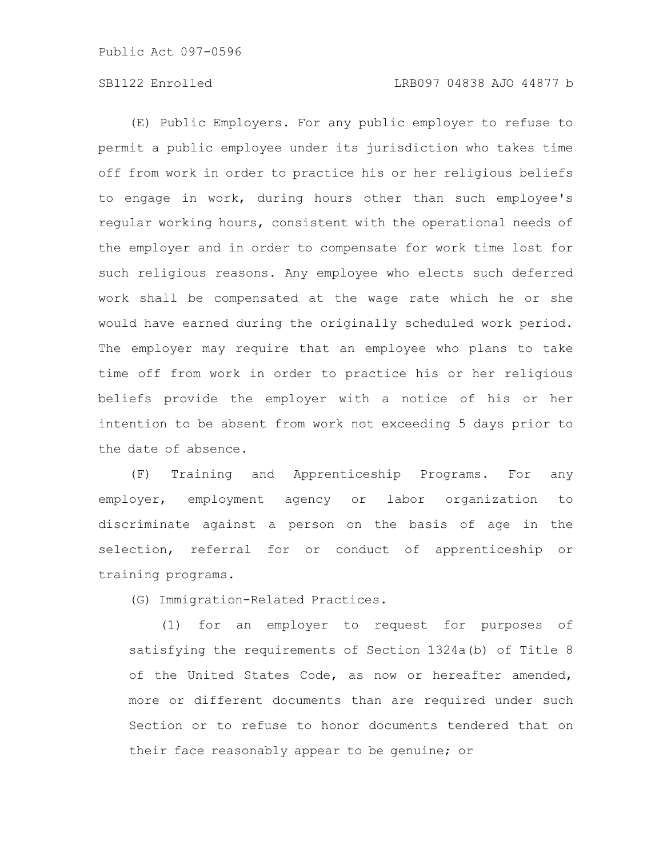(E) Public Employers. For any public employer to refuse to permit a public employee under its jurisdiction who takes time off from work in order to practice his or her religious beliefs to engage in work, during hours other than such employee's regular working hours, consistent with the operational needs of the employer and in order to compensate for work time lost for such religious reasons. Any employee who elects such deferred work shall be compensated at the wage rate which he or she would have earned during the originally scheduled work period. The employer may require that an employee who plans to take time off from work in order to practice his or her religious beliefs provide the employer with a notice of his or her intention to be absent from work not exceeding 5 days prior to the date of absence.

(F) Training and Apprenticeship Programs. For any employer, employment agency or labor organization to discriminate against a person on the basis of age in the selection, referral for or conduct of apprenticeship or training programs.

(G) Immigration-Related Practices.

(1) for an employer to request for purposes of satisfying the requirements of Section 1324a(b) of Title 8 of the United States Code, as now or hereafter amended, more or different documents than are required under such Section or to refuse to honor documents tendered that on their face reasonably appear to be genuine; or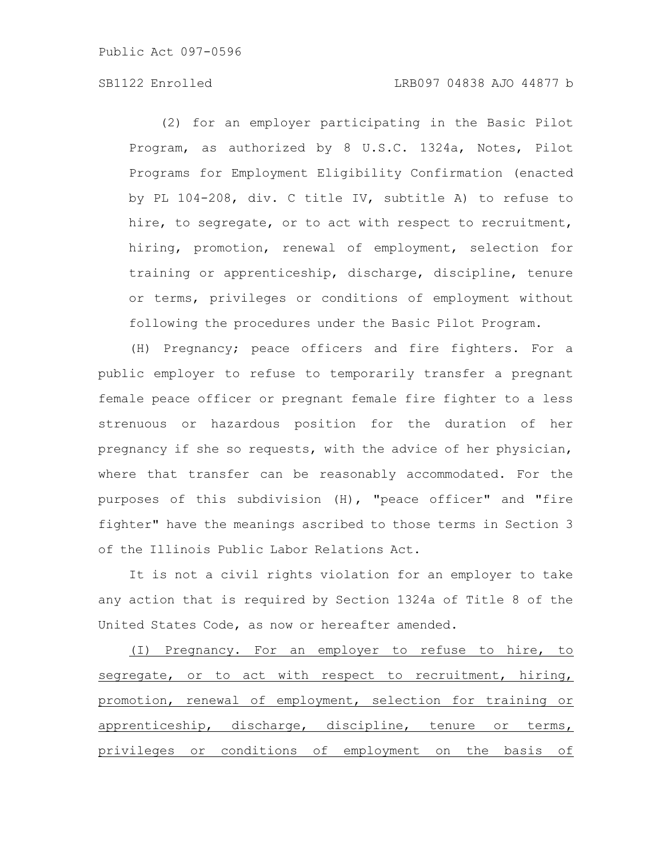(2) for an employer participating in the Basic Pilot Program, as authorized by 8 U.S.C. 1324a, Notes, Pilot Programs for Employment Eligibility Confirmation (enacted by PL 104-208, div. C title IV, subtitle A) to refuse to hire, to segregate, or to act with respect to recruitment, hiring, promotion, renewal of employment, selection for training or apprenticeship, discharge, discipline, tenure or terms, privileges or conditions of employment without following the procedures under the Basic Pilot Program.

(H) Pregnancy; peace officers and fire fighters. For a public employer to refuse to temporarily transfer a pregnant female peace officer or pregnant female fire fighter to a less strenuous or hazardous position for the duration of her pregnancy if she so requests, with the advice of her physician, where that transfer can be reasonably accommodated. For the purposes of this subdivision (H), "peace officer" and "fire fighter" have the meanings ascribed to those terms in Section 3 of the Illinois Public Labor Relations Act.

It is not a civil rights violation for an employer to take any action that is required by Section 1324a of Title 8 of the United States Code, as now or hereafter amended.

(I) Pregnancy. For an employer to refuse to hire, to segregate, or to act with respect to recruitment, hiring, promotion, renewal of employment, selection for training or apprenticeship, discharge, discipline, tenure or terms, privileges or conditions of employment on the basis of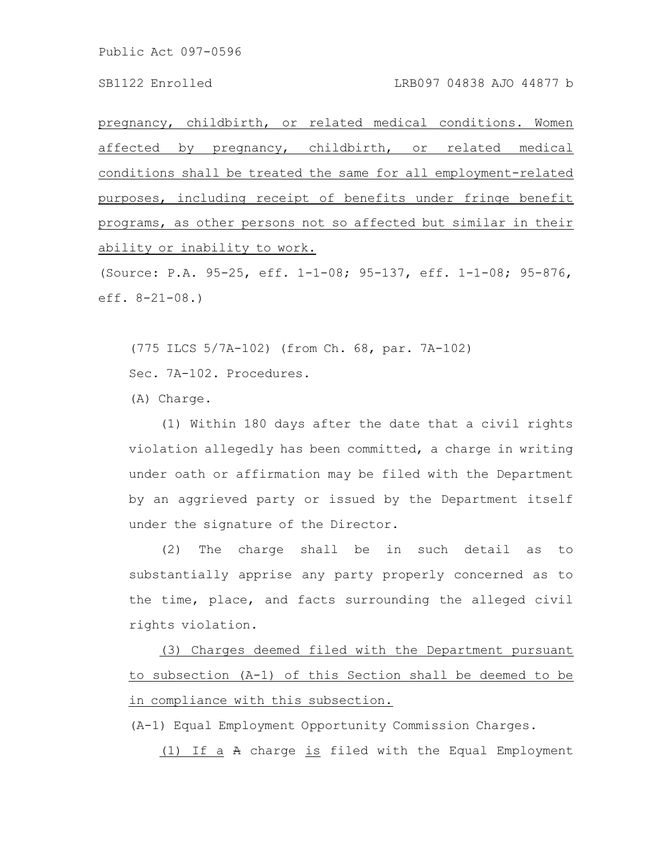pregnancy, childbirth, or related medical conditions. Women affected by pregnancy, childbirth, or related medical conditions shall be treated the same for all employment-related purposes, including receipt of benefits under fringe benefit programs, as other persons not so affected but similar in their ability or inability to work.

(Source: P.A. 95-25, eff. 1-1-08; 95-137, eff. 1-1-08; 95-876, eff. 8-21-08.)

(775 ILCS 5/7A-102) (from Ch. 68, par. 7A-102)

Sec. 7A-102. Procedures.

(A) Charge.

(1) Within 180 days after the date that a civil rights violation allegedly has been committed, a charge in writing under oath or affirmation may be filed with the Department by an aggrieved party or issued by the Department itself under the signature of the Director.

(2) The charge shall be in such detail as to substantially apprise any party properly concerned as to the time, place, and facts surrounding the alleged civil rights violation.

(3) Charges deemed filed with the Department pursuant to subsection (A-1) of this Section shall be deemed to be in compliance with this subsection.

(A-1) Equal Employment Opportunity Commission Charges.

(1) If a A charge is filed with the Equal Employment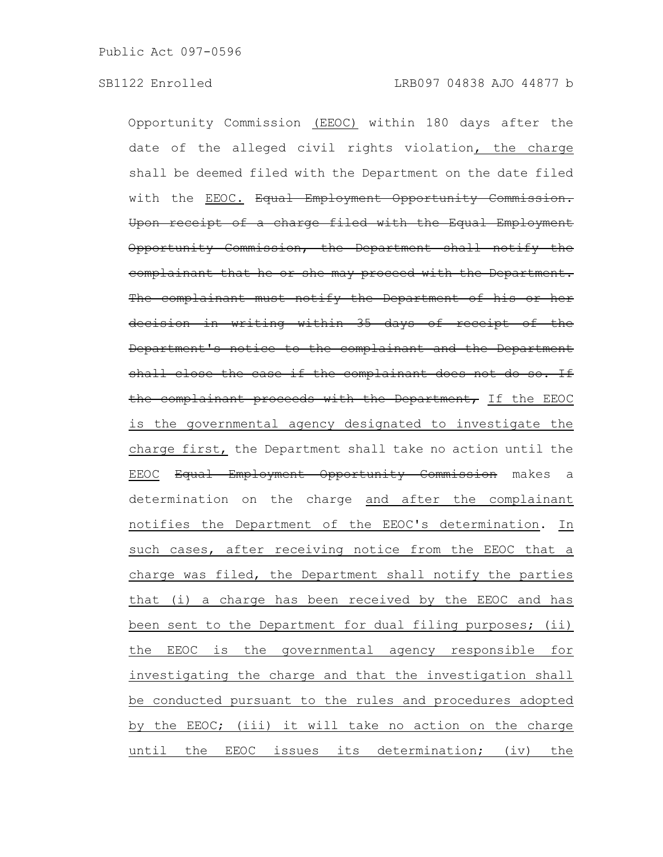Opportunity Commission (EEOC) within 180 days after the date of the alleged civil rights violation, the charge shall be deemed filed with the Department on the date filed with the EEOC. Equal Employment Opportunity Commi Upon receipt of a charge filed with the Equal Employment Opportunity Commission, the Department shall notify the complainant that he or she may proceed with the Department. The complainant must notify the Department of his or her decision in writing within 35 days of receipt of the Department's notice to the complainant and the Department shall close the case if the complainant does not do so. If the complainant proceeds with the Department, If the EEOC is the governmental agency designated to investigate the charge first, the Department shall take no action until the EEOC Equal Employment Opportunity Commission makes a determination on the charge and after the complainant notifies the Department of the EEOC's determination. In such cases, after receiving notice from the EEOC that a charge was filed, the Department shall notify the parties that (i) a charge has been received by the EEOC and has been sent to the Department for dual filing purposes; (ii) the EEOC is the governmental agency responsible for investigating the charge and that the investigation shall be conducted pursuant to the rules and procedures adopted by the EEOC; (iii) it will take no action on the charge until the EEOC issues its determination; (iv) the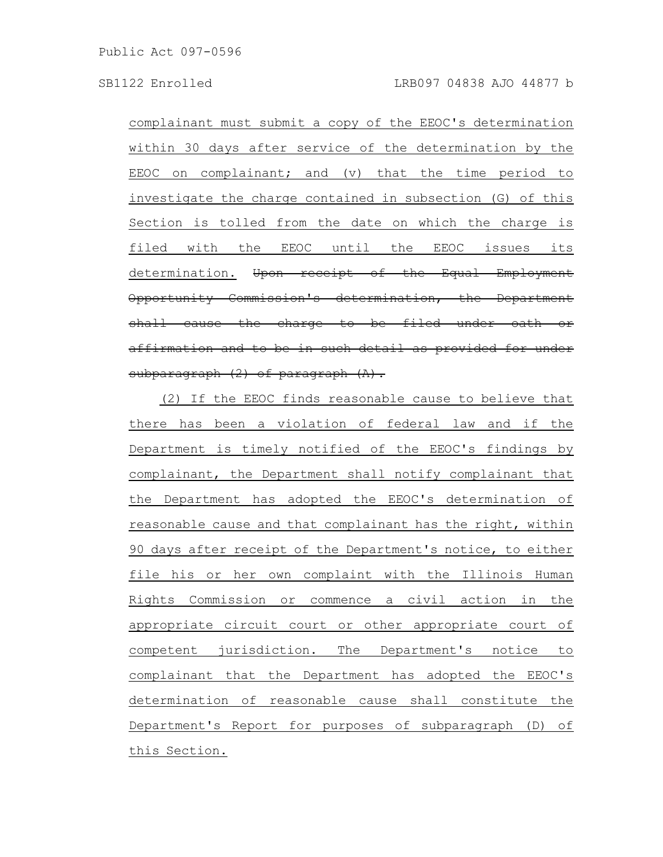complainant must submit a copy of the EEOC's determination within 30 days after service of the determination by the EEOC on complainant; and (v) that the time period to investigate the charge contained in subsection (G) of this Section is tolled from the date on which the charge is filed with the EEOC until the EEOC issues its determination. Upon receipt of the Equal Employment Opportunity Commission's determination, the Department shall cause the charge to be filed under oath affirmation and to be in such detail as provided subparagraph (2) of paragraph (A).

(2) If the EEOC finds reasonable cause to believe that there has been a violation of federal law and if the Department is timely notified of the EEOC's findings by complainant, the Department shall notify complainant that the Department has adopted the EEOC's determination of reasonable cause and that complainant has the right, within 90 days after receipt of the Department's notice, to either file his or her own complaint with the Illinois Human Rights Commission or commence a civil action in the appropriate circuit court or other appropriate court of competent jurisdiction. The Department's notice to complainant that the Department has adopted the EEOC's determination of reasonable cause shall constitute the Department's Report for purposes of subparagraph (D) of this Section.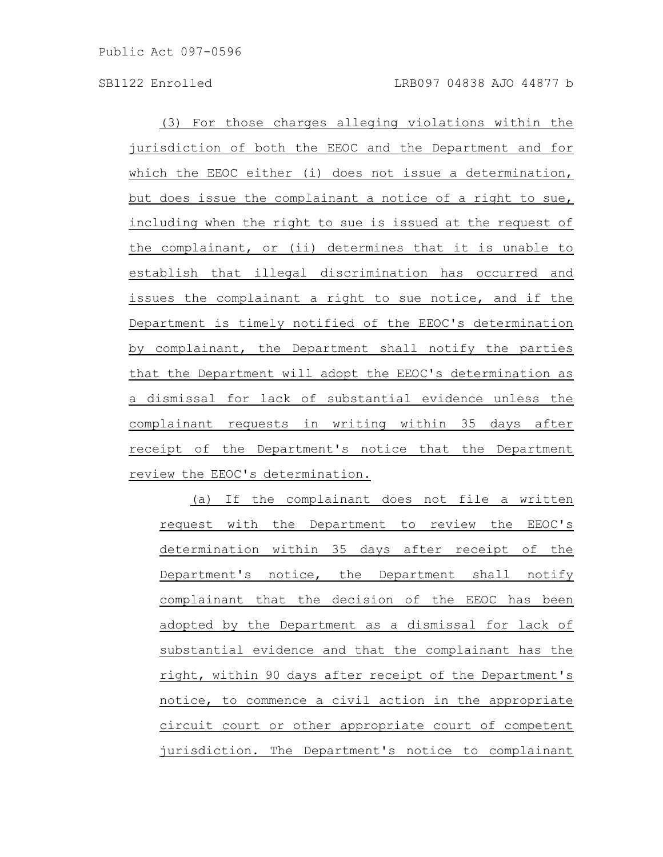(3) For those charges alleging violations within the jurisdiction of both the EEOC and the Department and for which the EEOC either (i) does not issue a determination, but does issue the complainant a notice of a right to sue, including when the right to sue is issued at the request of the complainant, or (ii) determines that it is unable to establish that illegal discrimination has occurred and issues the complainant a right to sue notice, and if the Department is timely notified of the EEOC's determination by complainant, the Department shall notify the parties that the Department will adopt the EEOC's determination as a dismissal for lack of substantial evidence unless the complainant requests in writing within 35 days after receipt of the Department's notice that the Department review the EEOC's determination.

(a) If the complainant does not file a written request with the Department to review the EEOC's determination within 35 days after receipt of the Department's notice, the Department shall notify complainant that the decision of the EEOC has been adopted by the Department as a dismissal for lack of substantial evidence and that the complainant has the right, within 90 days after receipt of the Department's notice, to commence a civil action in the appropriate circuit court or other appropriate court of competent jurisdiction. The Department's notice to complainant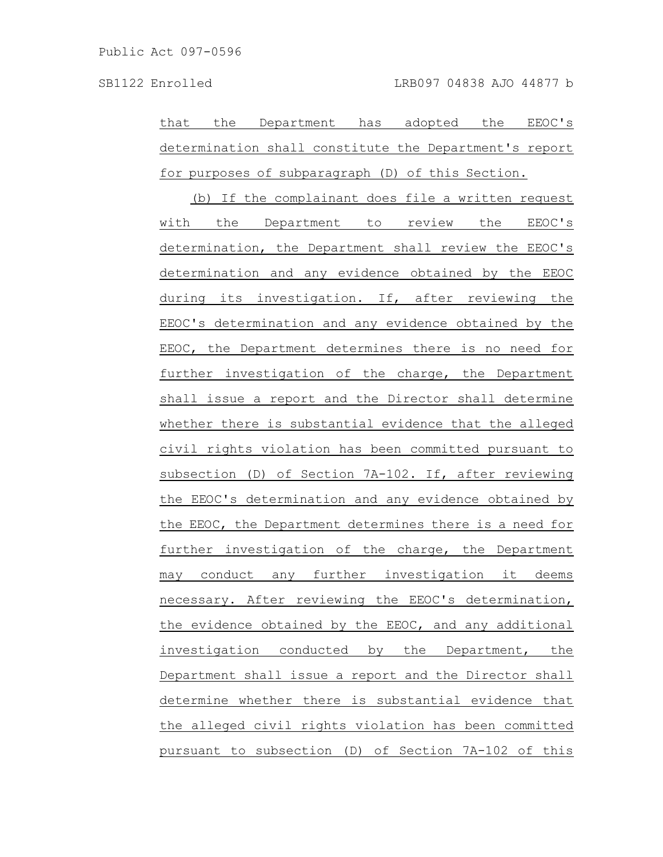that the Department has adopted the EEOC's determination shall constitute the Department's report for purposes of subparagraph (D) of this Section.

(b) If the complainant does file a written request with the Department to review the EEOC's determination, the Department shall review the EEOC's determination and any evidence obtained by the EEOC during its investigation. If, after reviewing the EEOC's determination and any evidence obtained by the EEOC, the Department determines there is no need for further investigation of the charge, the Department shall issue a report and the Director shall determine whether there is substantial evidence that the alleged civil rights violation has been committed pursuant to subsection (D) of Section 7A-102. If, after reviewing the EEOC's determination and any evidence obtained by the EEOC, the Department determines there is a need for further investigation of the charge, the Department may conduct any further investigation it deems necessary. After reviewing the EEOC's determination, the evidence obtained by the EEOC, and any additional investigation conducted by the Department, the Department shall issue a report and the Director shall determine whether there is substantial evidence that the alleged civil rights violation has been committed pursuant to subsection (D) of Section 7A-102 of this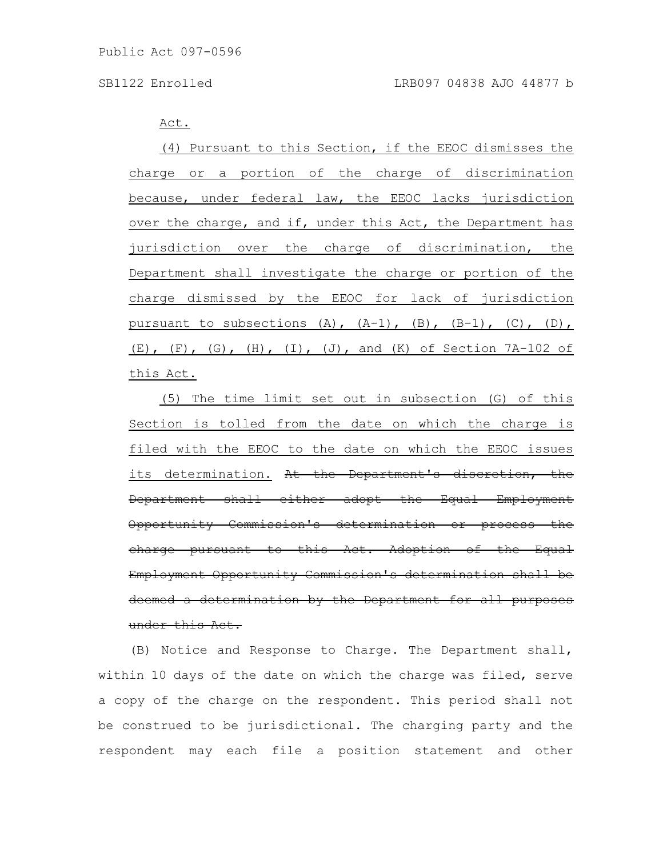Act.

(4) Pursuant to this Section, if the EEOC dismisses the charge or a portion of the charge of discrimination because, under federal law, the EEOC lacks jurisdiction over the charge, and if, under this Act, the Department has jurisdiction over the charge of discrimination, the Department shall investigate the charge or portion of the charge dismissed by the EEOC for lack of jurisdiction pursuant to subsections  $(A)$ ,  $(A-1)$ ,  $(B)$ ,  $(B-1)$ ,  $(C)$ ,  $(D)$ ,  $(E)$ ,  $(F)$ ,  $(G)$ ,  $(H)$ ,  $(I)$ ,  $(J)$ , and  $(K)$  of Section 7A-102 of this Act.

(5) The time limit set out in subsection (G) of this Section is tolled from the date on which the charge is filed with the EEOC to the date on which the EEOC issues its determination. At the Department's discretion, the Department shall either adopt the Equal Employment Opportunity Commission's determination or process the charge pursuant to this Act. Adoption of the Equal Employment Opportunity Commission's determination shall be deemed a determination by the Department for all purposes under this Act.

(B) Notice and Response to Charge. The Department shall, within 10 days of the date on which the charge was filed, serve a copy of the charge on the respondent. This period shall not be construed to be jurisdictional. The charging party and the respondent may each file a position statement and other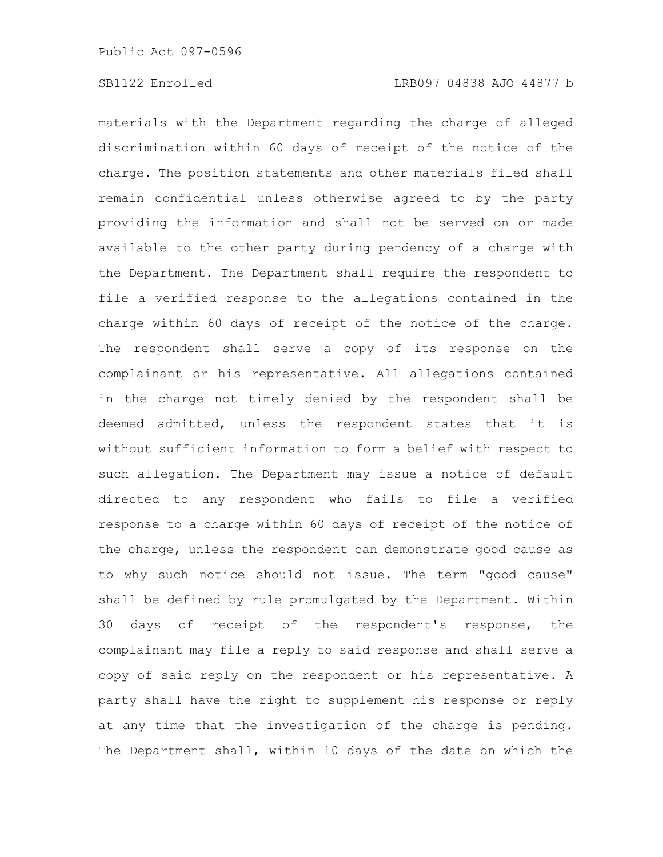materials with the Department regarding the charge of alleged discrimination within 60 days of receipt of the notice of the charge. The position statements and other materials filed shall remain confidential unless otherwise agreed to by the party providing the information and shall not be served on or made available to the other party during pendency of a charge with the Department. The Department shall require the respondent to file a verified response to the allegations contained in the charge within 60 days of receipt of the notice of the charge. The respondent shall serve a copy of its response on the complainant or his representative. All allegations contained in the charge not timely denied by the respondent shall be deemed admitted, unless the respondent states that it is without sufficient information to form a belief with respect to such allegation. The Department may issue a notice of default directed to any respondent who fails to file a verified response to a charge within 60 days of receipt of the notice of the charge, unless the respondent can demonstrate good cause as to why such notice should not issue. The term "good cause" shall be defined by rule promulgated by the Department. Within 30 days of receipt of the respondent's response, the complainant may file a reply to said response and shall serve a copy of said reply on the respondent or his representative. A party shall have the right to supplement his response or reply at any time that the investigation of the charge is pending. The Department shall, within 10 days of the date on which the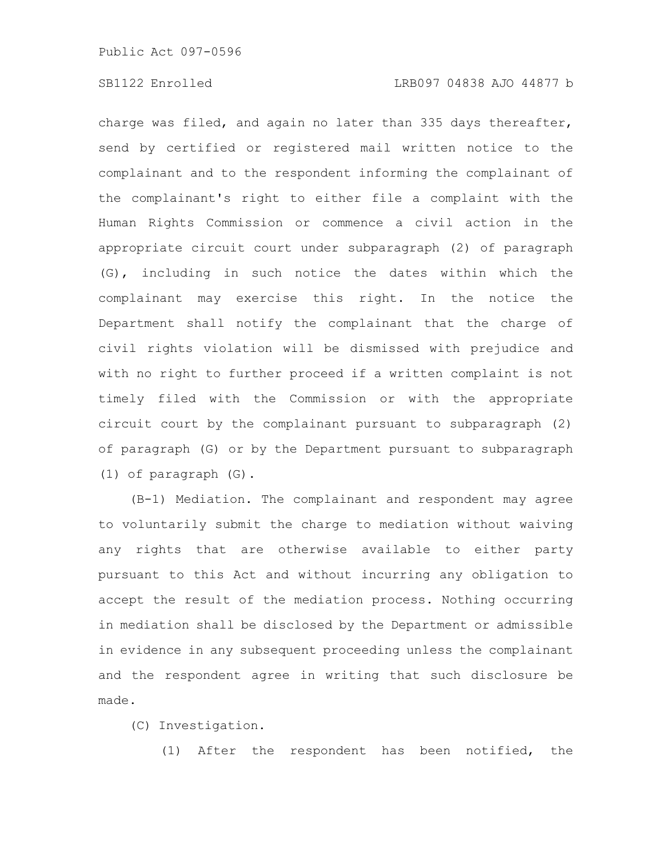charge was filed, and again no later than 335 days thereafter, send by certified or registered mail written notice to the complainant and to the respondent informing the complainant of the complainant's right to either file a complaint with the Human Rights Commission or commence a civil action in the appropriate circuit court under subparagraph (2) of paragraph (G), including in such notice the dates within which the complainant may exercise this right. In the notice the Department shall notify the complainant that the charge of civil rights violation will be dismissed with prejudice and with no right to further proceed if a written complaint is not timely filed with the Commission or with the appropriate circuit court by the complainant pursuant to subparagraph (2) of paragraph (G) or by the Department pursuant to subparagraph (1) of paragraph (G).

(B-1) Mediation. The complainant and respondent may agree to voluntarily submit the charge to mediation without waiving any rights that are otherwise available to either party pursuant to this Act and without incurring any obligation to accept the result of the mediation process. Nothing occurring in mediation shall be disclosed by the Department or admissible in evidence in any subsequent proceeding unless the complainant and the respondent agree in writing that such disclosure be made.

(C) Investigation.

(1) After the respondent has been notified, the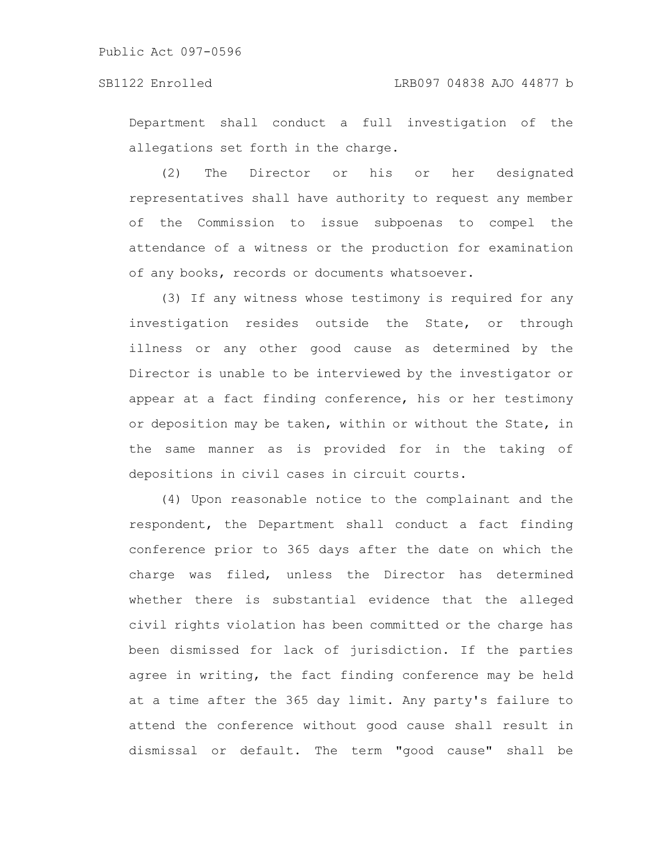Department shall conduct a full investigation of the allegations set forth in the charge.

(2) The Director or his or her designated representatives shall have authority to request any member of the Commission to issue subpoenas to compel the attendance of a witness or the production for examination of any books, records or documents whatsoever.

(3) If any witness whose testimony is required for any investigation resides outside the State, or through illness or any other good cause as determined by the Director is unable to be interviewed by the investigator or appear at a fact finding conference, his or her testimony or deposition may be taken, within or without the State, in the same manner as is provided for in the taking of depositions in civil cases in circuit courts.

(4) Upon reasonable notice to the complainant and the respondent, the Department shall conduct a fact finding conference prior to 365 days after the date on which the charge was filed, unless the Director has determined whether there is substantial evidence that the alleged civil rights violation has been committed or the charge has been dismissed for lack of jurisdiction. If the parties agree in writing, the fact finding conference may be held at a time after the 365 day limit. Any party's failure to attend the conference without good cause shall result in dismissal or default. The term "good cause" shall be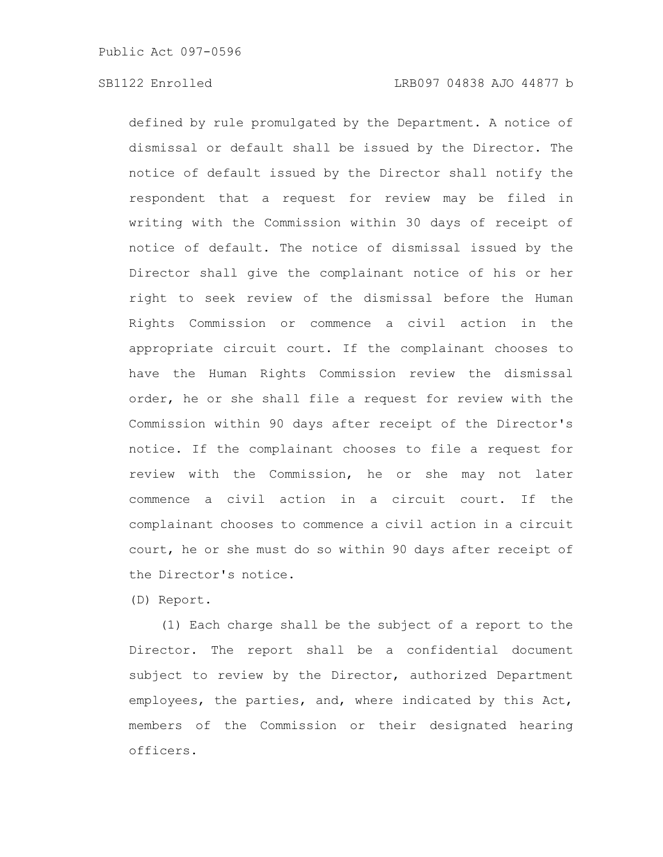defined by rule promulgated by the Department. A notice of dismissal or default shall be issued by the Director. The notice of default issued by the Director shall notify the respondent that a request for review may be filed in writing with the Commission within 30 days of receipt of notice of default. The notice of dismissal issued by the Director shall give the complainant notice of his or her right to seek review of the dismissal before the Human Rights Commission or commence a civil action in the appropriate circuit court. If the complainant chooses to have the Human Rights Commission review the dismissal order, he or she shall file a request for review with the Commission within 90 days after receipt of the Director's notice. If the complainant chooses to file a request for review with the Commission, he or she may not later commence a civil action in a circuit court. If the complainant chooses to commence a civil action in a circuit court, he or she must do so within 90 days after receipt of the Director's notice.

(D) Report.

(1) Each charge shall be the subject of a report to the Director. The report shall be a confidential document subject to review by the Director, authorized Department employees, the parties, and, where indicated by this Act, members of the Commission or their designated hearing officers.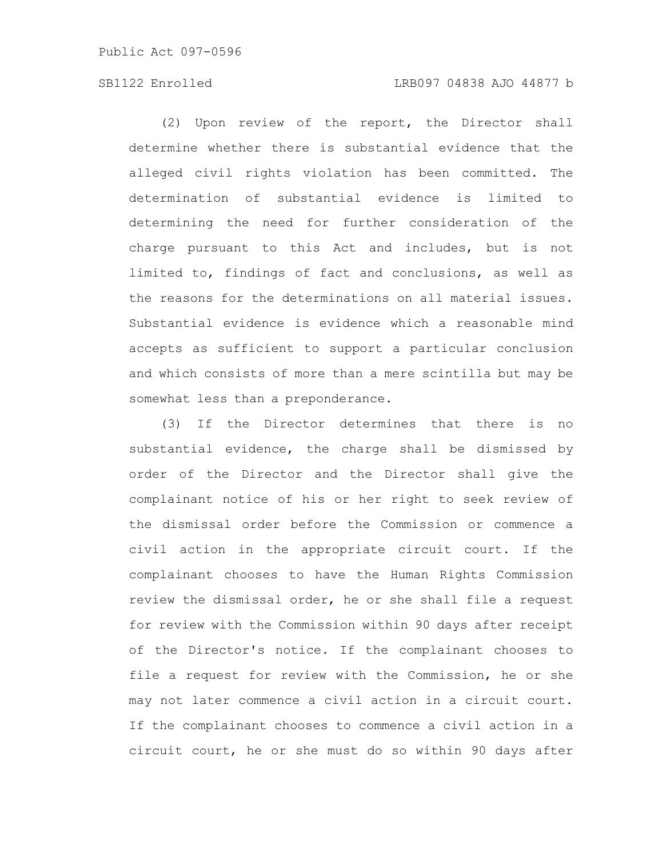## SB1122 Enrolled LRB097 04838 AJO 44877 b

(2) Upon review of the report, the Director shall determine whether there is substantial evidence that the alleged civil rights violation has been committed. The determination of substantial evidence is limited to determining the need for further consideration of the charge pursuant to this Act and includes, but is not limited to, findings of fact and conclusions, as well as the reasons for the determinations on all material issues. Substantial evidence is evidence which a reasonable mind accepts as sufficient to support a particular conclusion and which consists of more than a mere scintilla but may be somewhat less than a preponderance.

(3) If the Director determines that there is no substantial evidence, the charge shall be dismissed by order of the Director and the Director shall give the complainant notice of his or her right to seek review of the dismissal order before the Commission or commence a civil action in the appropriate circuit court. If the complainant chooses to have the Human Rights Commission review the dismissal order, he or she shall file a request for review with the Commission within 90 days after receipt of the Director's notice. If the complainant chooses to file a request for review with the Commission, he or she may not later commence a civil action in a circuit court. If the complainant chooses to commence a civil action in a circuit court, he or she must do so within 90 days after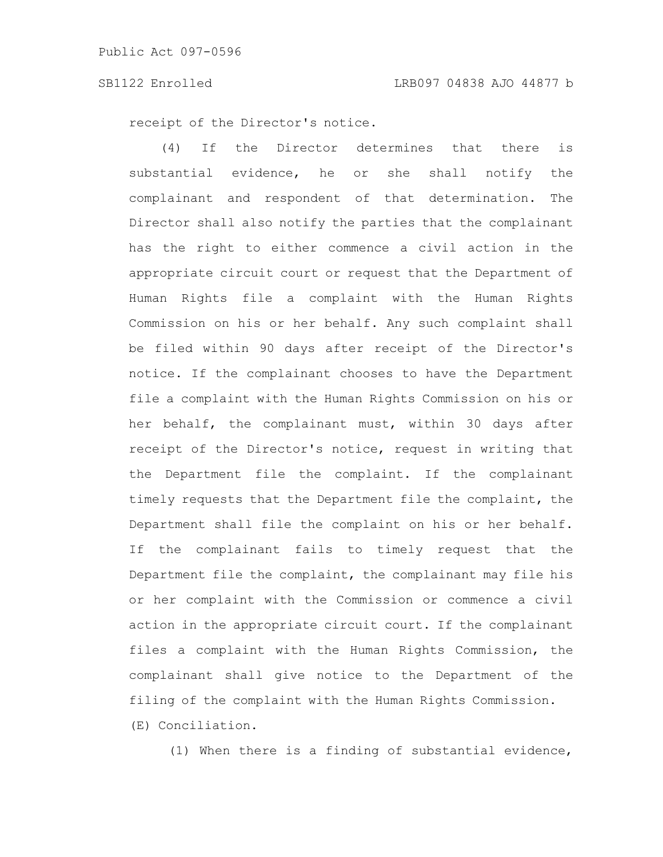receipt of the Director's notice.

(4) If the Director determines that there is substantial evidence, he or she shall notify the complainant and respondent of that determination. The Director shall also notify the parties that the complainant has the right to either commence a civil action in the appropriate circuit court or request that the Department of Human Rights file a complaint with the Human Rights Commission on his or her behalf. Any such complaint shall be filed within 90 days after receipt of the Director's notice. If the complainant chooses to have the Department file a complaint with the Human Rights Commission on his or her behalf, the complainant must, within 30 days after receipt of the Director's notice, request in writing that the Department file the complaint. If the complainant timely requests that the Department file the complaint, the Department shall file the complaint on his or her behalf. If the complainant fails to timely request that the Department file the complaint, the complainant may file his or her complaint with the Commission or commence a civil action in the appropriate circuit court. If the complainant files a complaint with the Human Rights Commission, the complainant shall give notice to the Department of the filing of the complaint with the Human Rights Commission.

(E) Conciliation.

(1) When there is a finding of substantial evidence,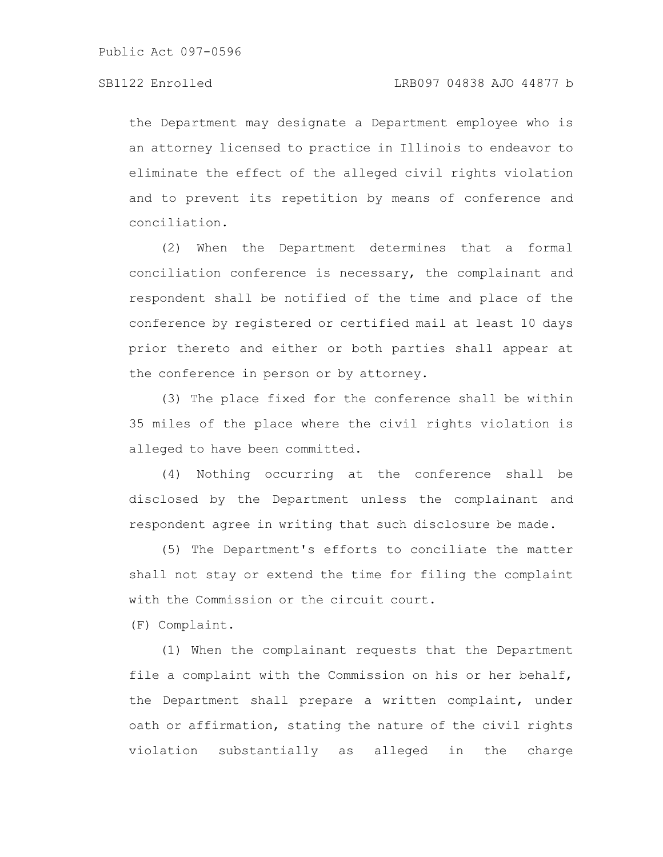the Department may designate a Department employee who is an attorney licensed to practice in Illinois to endeavor to eliminate the effect of the alleged civil rights violation and to prevent its repetition by means of conference and conciliation.

(2) When the Department determines that a formal conciliation conference is necessary, the complainant and respondent shall be notified of the time and place of the conference by registered or certified mail at least 10 days prior thereto and either or both parties shall appear at the conference in person or by attorney.

(3) The place fixed for the conference shall be within 35 miles of the place where the civil rights violation is alleged to have been committed.

(4) Nothing occurring at the conference shall be disclosed by the Department unless the complainant and respondent agree in writing that such disclosure be made.

(5) The Department's efforts to conciliate the matter shall not stay or extend the time for filing the complaint with the Commission or the circuit court.

(F) Complaint.

(1) When the complainant requests that the Department file a complaint with the Commission on his or her behalf, the Department shall prepare a written complaint, under oath or affirmation, stating the nature of the civil rights violation substantially as alleged in the charge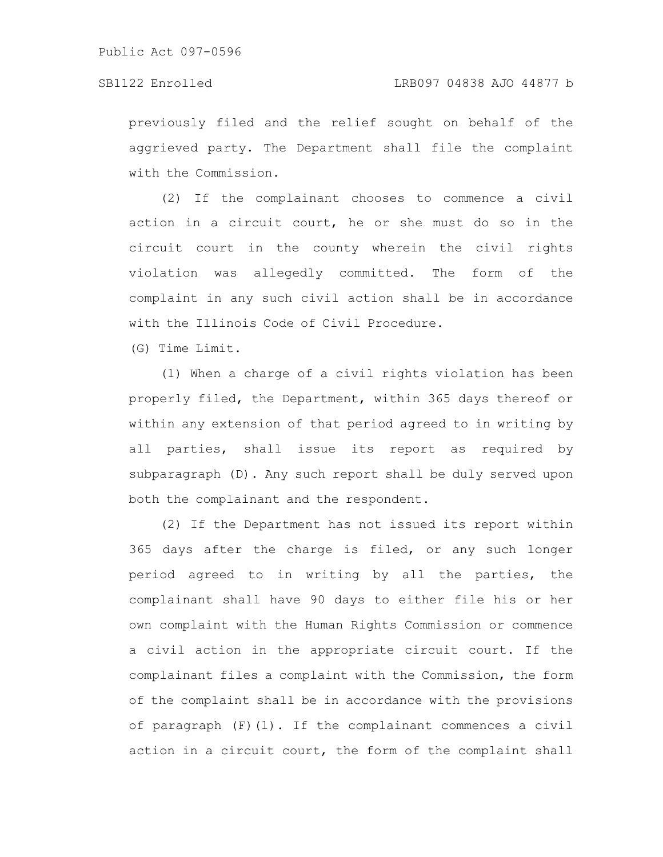previously filed and the relief sought on behalf of the aggrieved party. The Department shall file the complaint with the Commission.

(2) If the complainant chooses to commence a civil action in a circuit court, he or she must do so in the circuit court in the county wherein the civil rights violation was allegedly committed. The form of the complaint in any such civil action shall be in accordance with the Illinois Code of Civil Procedure.

(G) Time Limit.

(1) When a charge of a civil rights violation has been properly filed, the Department, within 365 days thereof or within any extension of that period agreed to in writing by all parties, shall issue its report as required by subparagraph (D). Any such report shall be duly served upon both the complainant and the respondent.

(2) If the Department has not issued its report within 365 days after the charge is filed, or any such longer period agreed to in writing by all the parties, the complainant shall have 90 days to either file his or her own complaint with the Human Rights Commission or commence a civil action in the appropriate circuit court. If the complainant files a complaint with the Commission, the form of the complaint shall be in accordance with the provisions of paragraph (F)(1). If the complainant commences a civil action in a circuit court, the form of the complaint shall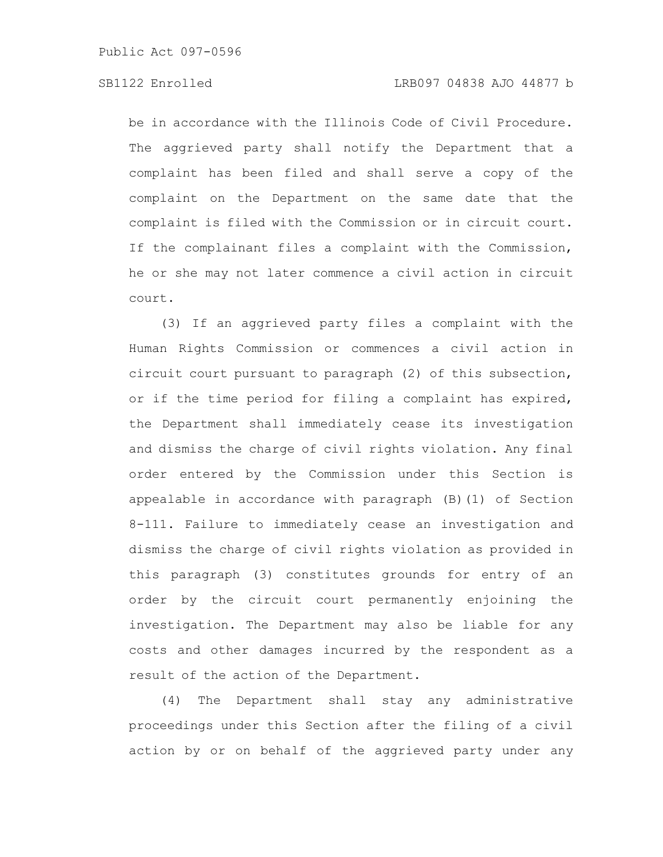be in accordance with the Illinois Code of Civil Procedure. The aggrieved party shall notify the Department that a complaint has been filed and shall serve a copy of the complaint on the Department on the same date that the complaint is filed with the Commission or in circuit court. If the complainant files a complaint with the Commission, he or she may not later commence a civil action in circuit court.

(3) If an aggrieved party files a complaint with the Human Rights Commission or commences a civil action in circuit court pursuant to paragraph (2) of this subsection, or if the time period for filing a complaint has expired, the Department shall immediately cease its investigation and dismiss the charge of civil rights violation. Any final order entered by the Commission under this Section is appealable in accordance with paragraph (B)(1) of Section 8-111. Failure to immediately cease an investigation and dismiss the charge of civil rights violation as provided in this paragraph (3) constitutes grounds for entry of an order by the circuit court permanently enjoining the investigation. The Department may also be liable for any costs and other damages incurred by the respondent as a result of the action of the Department.

(4) The Department shall stay any administrative proceedings under this Section after the filing of a civil action by or on behalf of the aggrieved party under any